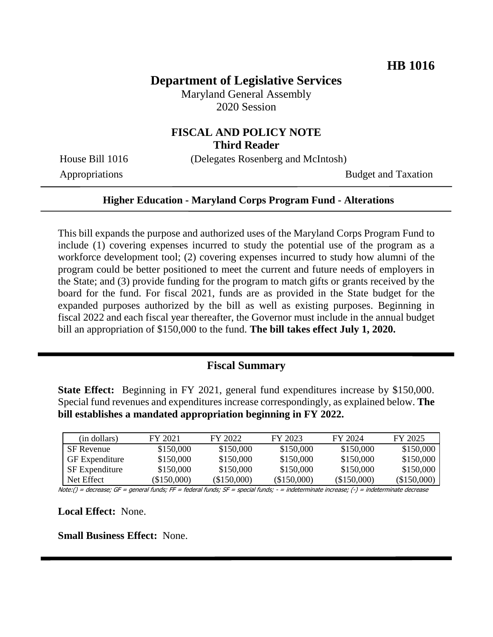# **Department of Legislative Services**

Maryland General Assembly 2020 Session

## **FISCAL AND POLICY NOTE Third Reader**

House Bill 1016 (Delegates Rosenberg and McIntosh)

Appropriations Budget and Taxation

#### **Higher Education - Maryland Corps Program Fund - Alterations**

This bill expands the purpose and authorized uses of the Maryland Corps Program Fund to include (1) covering expenses incurred to study the potential use of the program as a workforce development tool; (2) covering expenses incurred to study how alumni of the program could be better positioned to meet the current and future needs of employers in the State; and (3) provide funding for the program to match gifts or grants received by the board for the fund. For fiscal 2021, funds are as provided in the State budget for the expanded purposes authorized by the bill as well as existing purposes. Beginning in fiscal 2022 and each fiscal year thereafter, the Governor must include in the annual budget bill an appropriation of \$150,000 to the fund. **The bill takes effect July 1, 2020.**

## **Fiscal Summary**

**State Effect:** Beginning in FY 2021, general fund expenditures increase by \$150,000. Special fund revenues and expenditures increase correspondingly, as explained below. **The bill establishes a mandated appropriation beginning in FY 2022.**

| (in dollars)          | FY 2021    | FY 2022    | FY 2023    | FY 2024     | FY 2025     |
|-----------------------|------------|------------|------------|-------------|-------------|
| <b>SF</b> Revenue     | \$150,000  | \$150,000  | \$150,000  | \$150,000   | \$150,000   |
| <b>GF</b> Expenditure | \$150,000  | \$150,000  | \$150,000  | \$150,000   | \$150,000   |
| <b>SF</b> Expenditure | \$150,000  | \$150,000  | \$150,000  | \$150,000   | \$150,000   |
| Net Effect            | (S150.000) | (S150,000) | (S150,000) | (\$150,000) | (\$150,000) |

Note:() = decrease; GF = general funds; FF = federal funds; SF = special funds; - = indeterminate increase; (-) = indeterminate decrease

**Local Effect:** None.

**Small Business Effect:** None.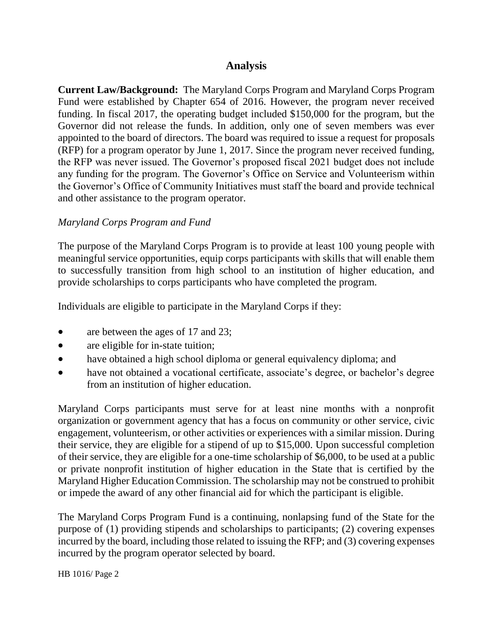## **Analysis**

**Current Law/Background:** The Maryland Corps Program and Maryland Corps Program Fund were established by Chapter 654 of 2016. However, the program never received funding. In fiscal 2017, the operating budget included \$150,000 for the program, but the Governor did not release the funds. In addition, only one of seven members was ever appointed to the board of directors. The board was required to issue a request for proposals (RFP) for a program operator by June 1, 2017. Since the program never received funding, the RFP was never issued. The Governor's proposed fiscal 2021 budget does not include any funding for the program. The Governor's Office on Service and Volunteerism within the Governor's Office of Community Initiatives must staff the board and provide technical and other assistance to the program operator.

#### *Maryland Corps Program and Fund*

The purpose of the Maryland Corps Program is to provide at least 100 young people with meaningful service opportunities, equip corps participants with skills that will enable them to successfully transition from high school to an institution of higher education, and provide scholarships to corps participants who have completed the program.

Individuals are eligible to participate in the Maryland Corps if they:

- are between the ages of 17 and 23;
- are eligible for in-state tuition;
- have obtained a high school diploma or general equivalency diploma; and
- have not obtained a vocational certificate, associate's degree, or bachelor's degree from an institution of higher education.

Maryland Corps participants must serve for at least nine months with a nonprofit organization or government agency that has a focus on community or other service, civic engagement, volunteerism, or other activities or experiences with a similar mission. During their service, they are eligible for a stipend of up to \$15,000. Upon successful completion of their service, they are eligible for a one-time scholarship of \$6,000, to be used at a public or private nonprofit institution of higher education in the State that is certified by the Maryland Higher Education Commission. The scholarship may not be construed to prohibit or impede the award of any other financial aid for which the participant is eligible.

The Maryland Corps Program Fund is a continuing, nonlapsing fund of the State for the purpose of (1) providing stipends and scholarships to participants; (2) covering expenses incurred by the board, including those related to issuing the RFP; and (3) covering expenses incurred by the program operator selected by board.

HB 1016/ Page 2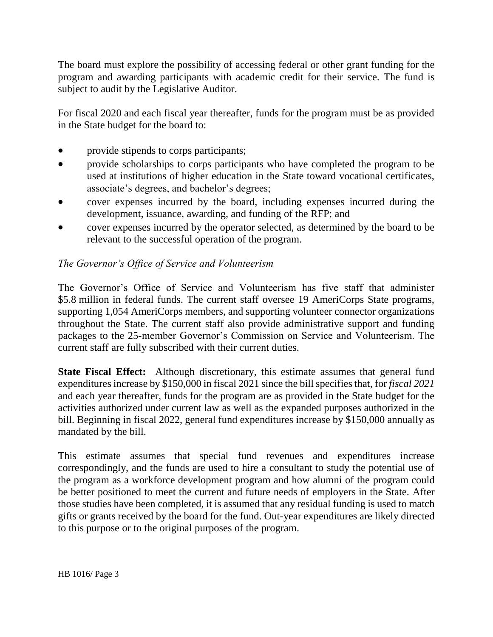The board must explore the possibility of accessing federal or other grant funding for the program and awarding participants with academic credit for their service. The fund is subject to audit by the Legislative Auditor.

For fiscal 2020 and each fiscal year thereafter, funds for the program must be as provided in the State budget for the board to:

- provide stipends to corps participants;
- provide scholarships to corps participants who have completed the program to be used at institutions of higher education in the State toward vocational certificates, associate's degrees, and bachelor's degrees;
- cover expenses incurred by the board, including expenses incurred during the development, issuance, awarding, and funding of the RFP; and
- cover expenses incurred by the operator selected, as determined by the board to be relevant to the successful operation of the program.

### *The Governor's Office of Service and Volunteerism*

The Governor's Office of Service and Volunteerism has five staff that administer \$5.8 million in federal funds. The current staff oversee 19 AmeriCorps State programs, supporting 1,054 AmeriCorps members, and supporting volunteer connector organizations throughout the State. The current staff also provide administrative support and funding packages to the 25-member Governor's Commission on Service and Volunteerism. The current staff are fully subscribed with their current duties.

**State Fiscal Effect:** Although discretionary, this estimate assumes that general fund expenditures increase by \$150,000 in fiscal 2021 since the bill specifies that, for *fiscal 2021* and each year thereafter, funds for the program are as provided in the State budget for the activities authorized under current law as well as the expanded purposes authorized in the bill. Beginning in fiscal 2022, general fund expenditures increase by \$150,000 annually as mandated by the bill.

This estimate assumes that special fund revenues and expenditures increase correspondingly, and the funds are used to hire a consultant to study the potential use of the program as a workforce development program and how alumni of the program could be better positioned to meet the current and future needs of employers in the State. After those studies have been completed, it is assumed that any residual funding is used to match gifts or grants received by the board for the fund. Out-year expenditures are likely directed to this purpose or to the original purposes of the program.